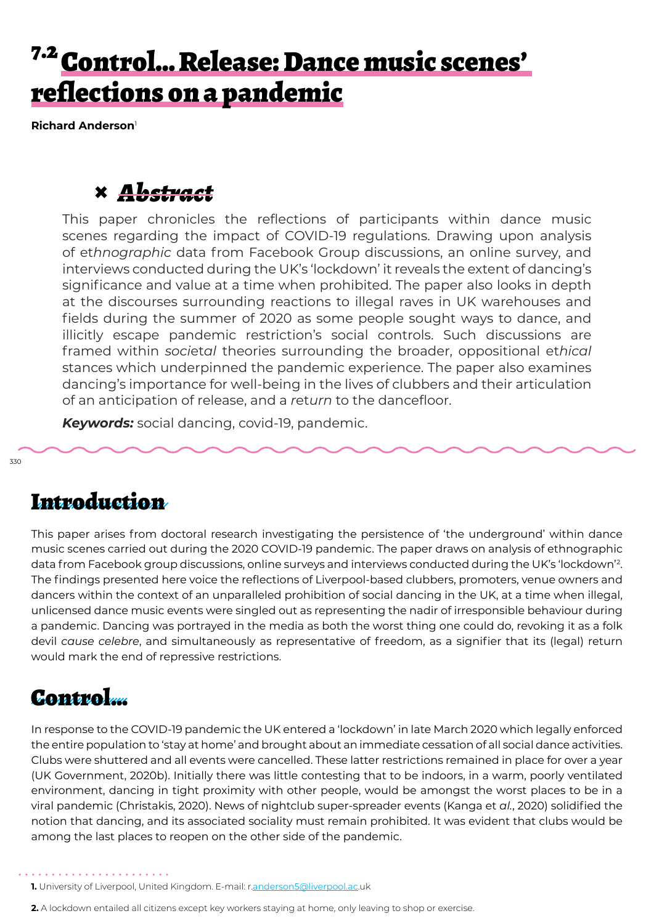# <sup>7.2</sup> Control... Release: Dance music scenes' reflections on a pandemic

**Richard Anderson**<sup>1</sup>

## **×** *Abstract*

This paper chronicles the reflections of participants within dance music scenes regarding the impact of COVID-19 regulations. Drawing upon analysis of et*hnographic* data from Facebook Group discussions, an online survey, and interviews conducted during the UK's 'lockdown' it reveals the extent of dancing's significance and value at a time when prohibited. The paper also looks in depth at the discourses surrounding reactions to illegal raves in UK warehouses and fields during the summer of 2020 as some people sought ways to dance, and illicitly escape pandemic restriction's social controls. Such discussions are framed within *soci*et*al* theories surrounding the broader, oppositional et*hical* stances which underpinned the pandemic experience. The paper also examines dancing's importance for well-being in the lives of clubbers and their articulation of an anticipation of release, and a *r*et*urn* to the dancefloor.

*Keywords:* social dancing, covid-19, pandemic.

### Introduction

This paper arises from doctoral research investigating the persistence of 'the underground' within dance music scenes carried out during the 2020 COVID-19 pandemic. The paper draws on analysis of ethnographic data from Facebook group discussions, online surveys and interviews conducted during the UK's 'lockdown'2. The findings presented here voice the reflections of Liverpool-based clubbers, promoters, venue owners and dancers within the context of an unparalleled prohibition of social dancing in the UK, at a time when illegal, unlicensed dance music events were singled out as representing the nadir of irresponsible behaviour during a pandemic. Dancing was portrayed in the media as both the worst thing one could do, revoking it as a folk devil *cause celebre*, and simultaneously as representative of freedom, as a signifier that its (legal) return would mark the end of repressive restrictions.

#### Control…

In response to the COVID-19 pandemic the UK entered a 'lockdown' in late March 2020 which legally enforced the entire population to 'stay at home' and brought about an immediate cessation of all social dance activities. Clubs were shuttered and all events were cancelled. These latter restrictions remained in place for over a year (UK Government, 2020b). Initially there was little contesting that to be indoors, in a warm, poorly ventilated environment, dancing in tight proximity with other people, would be amongst the worst places to be in a viral pandemic (Christakis, 2020). News of nightclub super-spreader events (Kanga et *al.*, 2020) solidified the notion that dancing, and its associated sociality must remain prohibited. It was evident that clubs would be among the last places to reopen on the other side of the pandemic.

**1.** University of Liverpool, United Kingdom. E-mail: r.anderson5@liverpool.ac.uk

**2.** A lockdown entailed all citizens except key workers staying at home, only leaving to shop or exercise.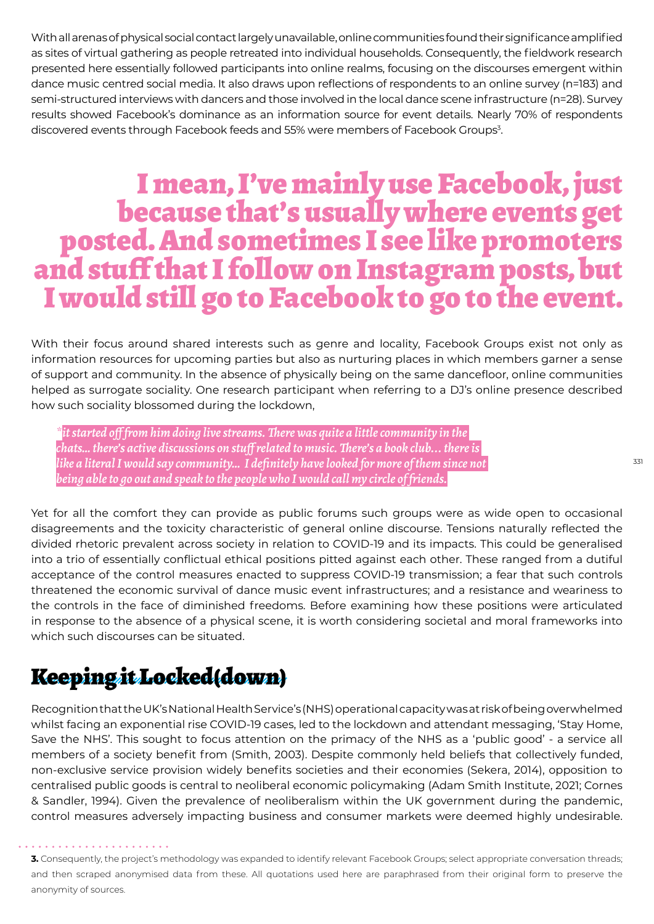With all arenas of physical social contact largely unavailable, online communities found their significance amplified as sites of virtual gathering as people retreated into individual households. Consequently, the fieldwork research presented here essentially followed participants into online realms, focusing on the discourses emergent within dance music centred social media. It also draws upon reflections of respondents to an online survey (n=183) and semi-structured interviews with dancers and those involved in the local dance scene infrastructure (n=28). Survey results showed Facebook's dominance as an information source for event details. Nearly 70% of respondents discovered events through Facebook feeds and 55% were members of Facebook Groups<sup>3</sup>.

# I mean, I've mainly use Facebook, just<br>because that's usually where events get because that's usually where events get posted. And sometimes I see like promoters and stuff that I follow on Instagram posts, but I would still go to Facebook to go to the event.

With their focus around shared interests such as genre and locality, Facebook Groups exist not only as information resources for upcoming parties but also as nurturing places in which members garner a sense of support and community. In the absence of physically being on the same dancefloor, online communities helped as surrogate sociality. One research participant when referring to a DJ's online presence described how such sociality blossomed during the lockdown,

*\*it started off from him doing live streams. There was quite a little community in the chats… there's active discussions on stuff related to music. There's a book club... there is like a literal I would say community… I definitely have looked for more of them since not being able to go out and speak to the people who I would call my circle of friends.*

Yet for all the comfort they can provide as public forums such groups were as wide open to occasional disagreements and the toxicity characteristic of general online discourse. Tensions naturally reflected the divided rhetoric prevalent across society in relation to COVID-19 and its impacts. This could be generalised into a trio of essentially conflictual ethical positions pitted against each other. These ranged from a dutiful acceptance of the control measures enacted to suppress COVID-19 transmission; a fear that such controls threatened the economic survival of dance music event infrastructures; and a resistance and weariness to the controls in the face of diminished freedoms. Before examining how these positions were articulated in response to the absence of a physical scene, it is worth considering societal and moral frameworks into which such discourses can be situated.

# Keeping it Locked(down)

Recognition that the UK's National Health Service's (NHS) operational capacity was at risk of being overwhelmed whilst facing an exponential rise COVID-19 cases, led to the lockdown and attendant messaging, 'Stay Home, Save the NHS'. This sought to focus attention on the primacy of the NHS as a 'public good' - a service all members of a society benefit from (Smith, 2003). Despite commonly held beliefs that collectively funded, non-exclusive service provision widely benefits societies and their economies (Sekera, 2014), opposition to centralised public goods is central to neoliberal economic policymaking (Adam Smith Institute, 2021; Cornes & Sandler, 1994). Given the prevalence of neoliberalism within the UK government during the pandemic, control measures adversely impacting business and consumer markets were deemed highly undesirable.

331

**<sup>3.</sup>** Consequently, the project's methodology was expanded to identify relevant Facebook Groups; select appropriate conversation threads; and then scraped anonymised data from these. All quotations used here are paraphrased from their original form to preserve the anonymity of sources.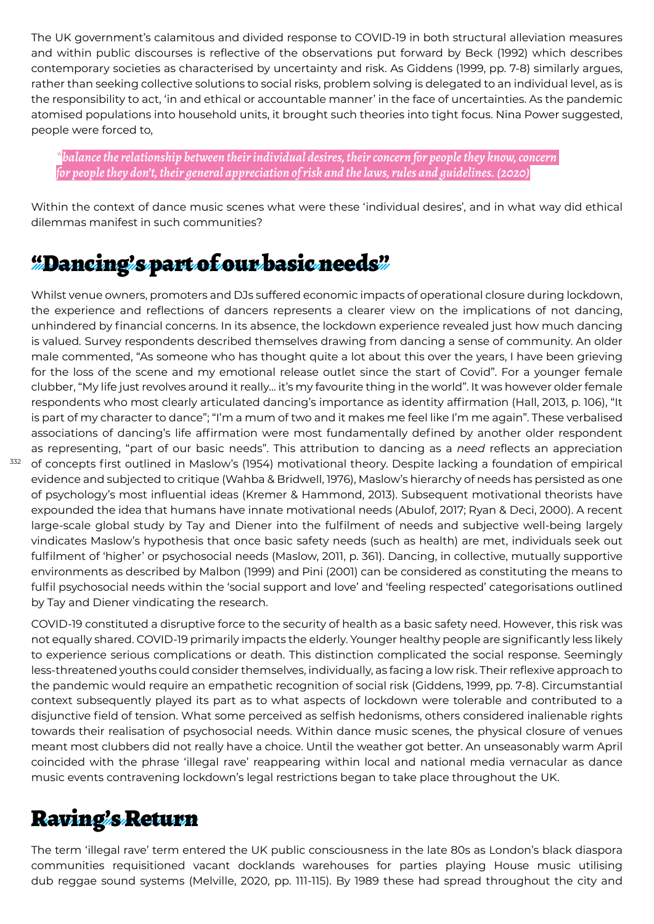The UK government's calamitous and divided response to COVID-19 in both structural alleviation measures and within public discourses is reflective of the observations put forward by Beck (1992) which describes contemporary societies as characterised by uncertainty and risk. As Giddens (1999, pp. 7-8) similarly argues, rather than seeking collective solutions to social risks, problem solving is delegated to an individual level, as is the responsibility to act, 'in and ethical or accountable manner' in the face of uncertainties. As the pandemic atomised populations into household units, it brought such theories into tight focus. Nina Power suggested, people were forced to,

*\*balance the relationship between their individual desires, their concern for people they know, concern for people they don't, their general appreciation of risk and the laws, rules and guidelines. (2020)*

Within the context of dance music scenes what were these 'individual desires', and in what way did ethical dilemmas manifest in such communities?

## "Dancing's part of our basic needs"

Whilst venue owners, promoters and DJs suffered economic impacts of operational closure during lockdown, the experience and reflections of dancers represents a clearer view on the implications of not dancing, unhindered by financial concerns. In its absence, the lockdown experience revealed just how much dancing is valued*.* Survey respondents described themselves drawing from dancing a sense of community. An older male commented, "As someone who has thought quite a lot about this over the years, I have been grieving for the loss of the scene and my emotional release outlet since the start of Covid". For a younger female clubber, "My life just revolves around it really… it's my favourite thing in the world". It was however older female respondents who most clearly articulated dancing's importance as identity affirmation (Hall, 2013, p. 106), "It is part of my character to dance"; "I'm a mum of two and it makes me feel like I'm me again". These verbalised associations of dancing's life affirmation were most fundamentally defined by another older respondent as representing, "part of our basic needs". This attribution to dancing as a *need* reflects an appreciation of concepts first outlined in Maslow's (1954) motivational theory. Despite lacking a foundation of empirical evidence and subjected to critique (Wahba & Bridwell, 1976), Maslow's hierarchy of needs has persisted as one of psychology's most influential ideas (Kremer & Hammond, 2013). Subsequent motivational theorists have expounded the idea that humans have innate motivational needs (Abulof, 2017; Ryan & Deci, 2000). A recent large-scale global study by Tay and Diener into the fulfilment of needs and subjective well-being largely

vindicates Maslow's hypothesis that once basic safety needs (such as health) are met, individuals seek out fulfilment of 'higher' or psychosocial needs (Maslow, 2011, p. 361). Dancing, in collective, mutually supportive environments as described by Malbon (1999) and Pini (2001) can be considered as constituting the means to fulfil psychosocial needs within the 'social support and love' and 'feeling respected' categorisations outlined by Tay and Diener vindicating the research.

COVID-19 constituted a disruptive force to the security of health as a basic safety need. However, this risk was not equally shared. COVID-19 primarily impacts the elderly. Younger healthy people are significantly less likely to experience serious complications or death. This distinction complicated the social response. Seemingly less-threatened youths could consider themselves, individually, as facing a low risk. Their reflexive approach to the pandemic would require an empathetic recognition of social risk (Giddens, 1999, pp. 7-8). Circumstantial context subsequently played its part as to what aspects of lockdown were tolerable and contributed to a disjunctive field of tension. What some perceived as selfish hedonisms, others considered inalienable rights towards their realisation of psychosocial needs. Within dance music scenes, the physical closure of venues meant most clubbers did not really have a choice. Until the weather got better. An unseasonably warm April coincided with the phrase 'illegal rave' reappearing within local and national media vernacular as dance music events contravening lockdown's legal restrictions began to take place throughout the UK.

#### Raving's Return

332

The term 'illegal rave' term entered the UK public consciousness in the late 80s as London's black diaspora communities requisitioned vacant docklands warehouses for parties playing House music utilising dub reggae sound systems (Melville, 2020, pp. 111-115). By 1989 these had spread throughout the city and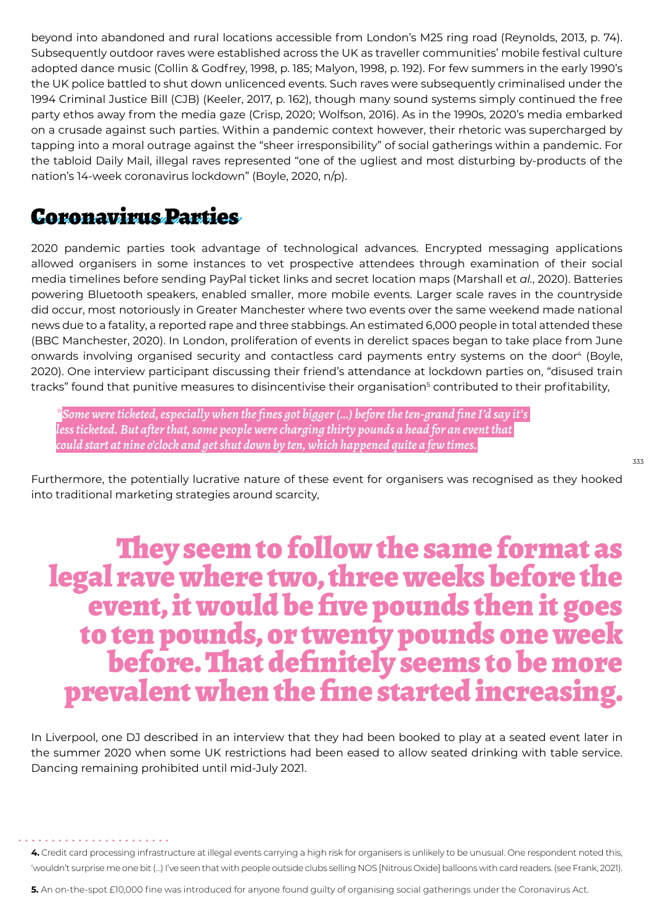beyond into abandoned and rural locations accessible from London's M25 ring road (Reynolds, 2013, p. 74). Subsequently outdoor raves were established across the UK as traveller communities' mobile festival culture adopted dance music (Collin & Godfrey, 1998, p. 185; Malyon, 1998, p. 192). For few summers in the early 1990's the UK police battled to shut down unlicenced events. Such raves were subsequently criminalised under the 1994 Criminal Justice Bill (CJB) (Keeler, 2017, p. 162), though many sound systems simply continued the free party ethos away from the media gaze (Crisp, 2020; Wolfson, 2016). As in the 1990s, 2020's media embarked on a crusade against such parties. Within a pandemic context however, their rhetoric was supercharged by tapping into a moral outrage against the "sheer irresponsibility" of social gatherings within a pandemic. For the tabloid Daily Mail, illegal raves represented "one of the ugliest and most disturbing by-products of the nation's 14-week coronavirus lockdown" (Boyle, 2020, n/p).

#### Coronavirus Parties

2020 pandemic parties took advantage of technological advances. Encrypted messaging applications allowed organisers in some instances to vet prospective attendees through examination of their social media timelines before sending PayPal ticket links and secret location maps (Marshall et *al.*, 2020). Batteries powering Bluetooth speakers, enabled smaller, more mobile events. Larger scale raves in the countryside did occur, most notoriously in Greater Manchester where two events over the same weekend made national news due to a fatality, a reported rape and three stabbings. An estimated 6,000 people in total attended these (BBC Manchester, 2020). In London, proliferation of events in derelict spaces began to take place from June onwards involving organised security and contactless card payments entry systems on the door<sup>4</sup> (Boyle, 2020). One interview participant discussing their friend's attendance at lockdown parties on, "disused train tracks" found that punitive measures to disincentivise their organisation<sup>s</sup> contributed to their profitability,

*\*Some were ticketed, especially when the fines got bigger (…) before the ten-grand fine I'd say it's less ticketed. But after that, some people were charging thirty pounds a head for an event that could start at nine o'clock and get shut down by ten, which happened quite a few times.*

Furthermore, the potentially lucrative nature of these event for organisers was recognised as they hooked into traditional marketing strategies around scarcity,

# They seem to follow the same format as<br>legal rave where two, three weeks before the<br>event, it would be five pounds then it goes to ten pounds, or twenty pounds one week before. That definitely seems to be more prevalent when the fine started increasing.

In Liverpool, one DJ described in an interview that they had been booked to play at a seated event later in the summer 2020 when some UK restrictions had been eased to allow seated drinking with table service. Dancing remaining prohibited until mid-July 2021.

**<sup>4.</sup>** Credit card processing infrastructure at illegal events carrying a high risk for organisers is unlikely to be unusual. One respondent noted this, 'wouldn't surprise me one bit (…) I've seen that with people outside clubs selling NOS [Nitrous Oxide] balloons with card readers. (see Frank, 2021).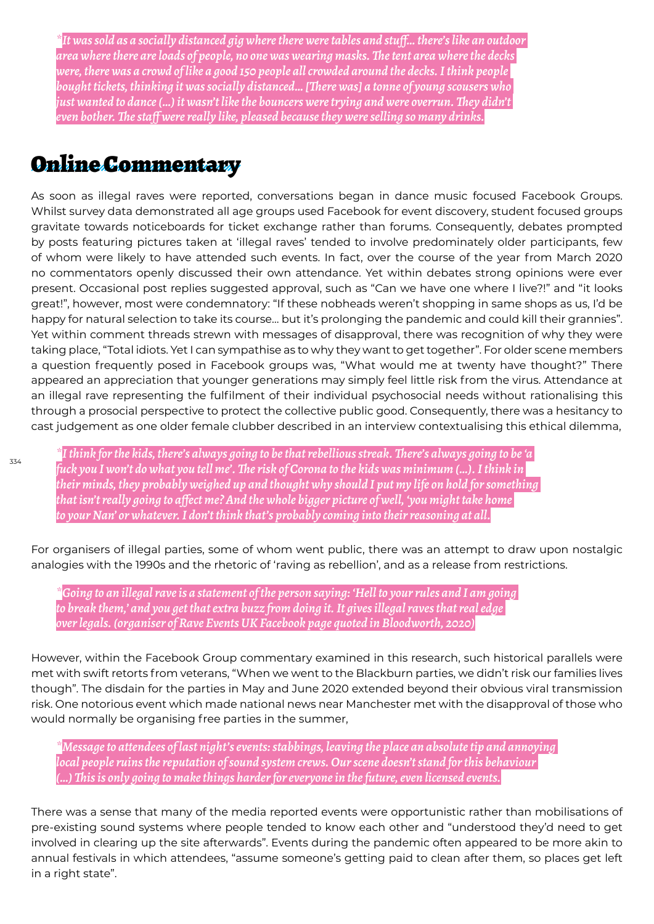*\*It was sold as a socially distanced gig where there were tables and stuff… there's like an outdoor area where there are loads of people, no one was wearing masks. The tent area where the decks were, there was a crowd of like a good 150 people all crowded around the decks. I think people bought tickets, thinking it was socially distanced… [There was] a tonne of young scousers who just wanted to dance (…) it wasn't like the bouncers were trying and were overrun. They didn't even bother. The staff were really like, pleased because they were selling so many drinks.*

#### Online Commentary

As soon as illegal raves were reported, conversations began in dance music focused Facebook Groups. Whilst survey data demonstrated all age groups used Facebook for event discovery, student focused groups gravitate towards noticeboards for ticket exchange rather than forums. Consequently, debates prompted by posts featuring pictures taken at 'illegal raves' tended to involve predominately older participants, few of whom were likely to have attended such events. In fact, over the course of the year from March 2020 no commentators openly discussed their own attendance. Yet within debates strong opinions were ever present. Occasional post replies suggested approval, such as "Can we have one where I live?!" and "it looks great!", however, most were condemnatory: "If these nobheads weren't shopping in same shops as us, I'd be happy for natural selection to take its course… but it's prolonging the pandemic and could kill their grannies". Yet within comment threads strewn with messages of disapproval, there was recognition of why they were taking place, "Total idiots. Yet I can sympathise as to why they want to get together". For older scene members a question frequently posed in Facebook groups was, "What would me at twenty have thought?" There appeared an appreciation that younger generations may simply feel little risk from the virus. Attendance at an illegal rave representing the fulfilment of their individual psychosocial needs without rationalising this through a prosocial perspective to protect the collective public good. Consequently, there was a hesitancy to cast judgement as one older female clubber described in an interview contextualising this ethical dilemma,

*\*I think for the kids, there's always going to be that rebellious streak. There's always going to be 'a fuck you I won't do what you tell me'. The risk of Corona to the kids was minimum (…). I think in their minds, they probably weighed up and thought why should I put my life on hold for something that isn't really going to affect me? And the whole bigger picture of well, 'you might take home to your Nan' or whatever. I don't think that's probably coming into their reasoning at all.*

For organisers of illegal parties, some of whom went public, there was an attempt to draw upon nostalgic analogies with the 1990s and the rhetoric of 'raving as rebellion', and as a release from restrictions.

*\*Going to an illegal rave is a statement of the person saying: 'Hell to your rules and I am going to break them,' and you get that extra buzz from doing it. It gives illegal raves that real edge over legals. (organiser of Rave Events UK Facebook page quoted in Bloodworth, 2020)*

However, within the Facebook Group commentary examined in this research, such historical parallels were met with swift retorts from veterans, "When we went to the Blackburn parties, we didn't risk our families lives though". The disdain for the parties in May and June 2020 extended beyond their obvious viral transmission risk. One notorious event which made national news near Manchester met with the disapproval of those who would normally be organising free parties in the summer,

*\*Message to attendees of last night's events: stabbings, leaving the place an absolute tip and annoying local people ruins the reputation of sound system crews. Our scene doesn't stand for this behaviour (…) This is only going to make things harder for everyone in the future, even licensed events.*

There was a sense that many of the media reported events were opportunistic rather than mobilisations of pre-existing sound systems where people tended to know each other and "understood they'd need to get involved in clearing up the site afterwards". Events during the pandemic often appeared to be more akin to annual festivals in which attendees, "assume someone's getting paid to clean after them, so places get left in a right state".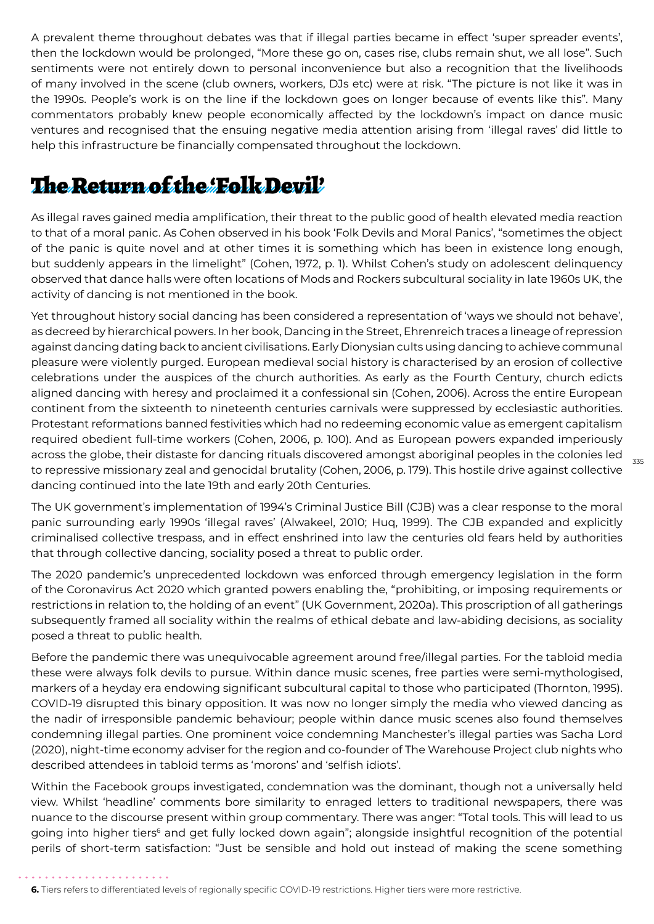A prevalent theme throughout debates was that if illegal parties became in effect 'super spreader events', then the lockdown would be prolonged, "More these go on, cases rise, clubs remain shut, we all lose". Such sentiments were not entirely down to personal inconvenience but also a recognition that the livelihoods of many involved in the scene (club owners, workers, DJs etc) were at risk. "The picture is not like it was in the 1990s. People's work is on the line if the lockdown goes on longer because of events like this". Many commentators probably knew people economically affected by the lockdown's impact on dance music ventures and recognised that the ensuing negative media attention arising from 'illegal raves' did little to help this infrastructure be financially compensated throughout the lockdown.

# The Return of the 'Folk Devil'

As illegal raves gained media amplification, their threat to the public good of health elevated media reaction to that of a moral panic. As Cohen observed in his book 'Folk Devils and Moral Panics', "sometimes the object of the panic is quite novel and at other times it is something which has been in existence long enough, but suddenly appears in the limelight" (Cohen, 1972, p. 1). Whilst Cohen's study on adolescent delinquency observed that dance halls were often locations of Mods and Rockers subcultural sociality in late 1960s UK, the activity of dancing is not mentioned in the book.

Yet throughout history social dancing has been considered a representation of 'ways we should not behave', as decreed by hierarchical powers. In her book, Dancing in the Street, Ehrenreich traces a lineage of repression against dancing dating back to ancient civilisations. Early Dionysian cults using dancing to achieve communal pleasure were violently purged. European medieval social history is characterised by an erosion of collective celebrations under the auspices of the church authorities. As early as the Fourth Century, church edicts aligned dancing with heresy and proclaimed it a confessional sin (Cohen, 2006). Across the entire European continent from the sixteenth to nineteenth centuries carnivals were suppressed by ecclesiastic authorities. Protestant reformations banned festivities which had no redeeming economic value as emergent capitalism required obedient full-time workers (Cohen, 2006, p. 100). And as European powers expanded imperiously across the globe, their distaste for dancing rituals discovered amongst aboriginal peoples in the colonies led to repressive missionary zeal and genocidal brutality (Cohen, 2006, p. 179). This hostile drive against collective dancing continued into the late 19th and early 20th Centuries.

The UK government's implementation of 1994's Criminal Justice Bill (CJB) was a clear response to the moral panic surrounding early 1990s 'illegal raves' (Alwakeel, 2010; Huq, 1999). The CJB expanded and explicitly criminalised collective trespass, and in effect enshrined into law the centuries old fears held by authorities that through collective dancing, sociality posed a threat to public order.

The 2020 pandemic's unprecedented lockdown was enforced through emergency legislation in the form of the Coronavirus Act 2020 which granted powers enabling the, "prohibiting, or imposing requirements or restrictions in relation to, the holding of an event" (UK Government, 2020a). This proscription of all gatherings subsequently framed all sociality within the realms of ethical debate and law-abiding decisions, as sociality posed a threat to public health*.*

Before the pandemic there was unequivocable agreement around free/illegal parties. For the tabloid media these were always folk devils to pursue. Within dance music scenes, free parties were semi-mythologised, markers of a heyday era endowing significant subcultural capital to those who participated (Thornton, 1995). COVID-19 disrupted this binary opposition. It was now no longer simply the media who viewed dancing as the nadir of irresponsible pandemic behaviour; people within dance music scenes also found themselves condemning illegal parties. One prominent voice condemning Manchester's illegal parties was Sacha Lord (2020), night-time economy adviser for the region and co-founder of The Warehouse Project club nights who described attendees in tabloid terms as 'morons' and 'selfish idiots'.

Within the Facebook groups investigated, condemnation was the dominant, though not a universally held view. Whilst 'headline' comments bore similarity to enraged letters to traditional newspapers, there was nuance to the discourse present within group commentary. There was anger: "Total tools. This will lead to us going into higher tiers<sup>6</sup> and get fully locked down again"; alongside insightful recognition of the potential perils of short-term satisfaction: "Just be sensible and hold out instead of making the scene something

**6.** Tiers refers to differentiated levels of regionally specific COVID-19 restrictions. Higher tiers were more restrictive.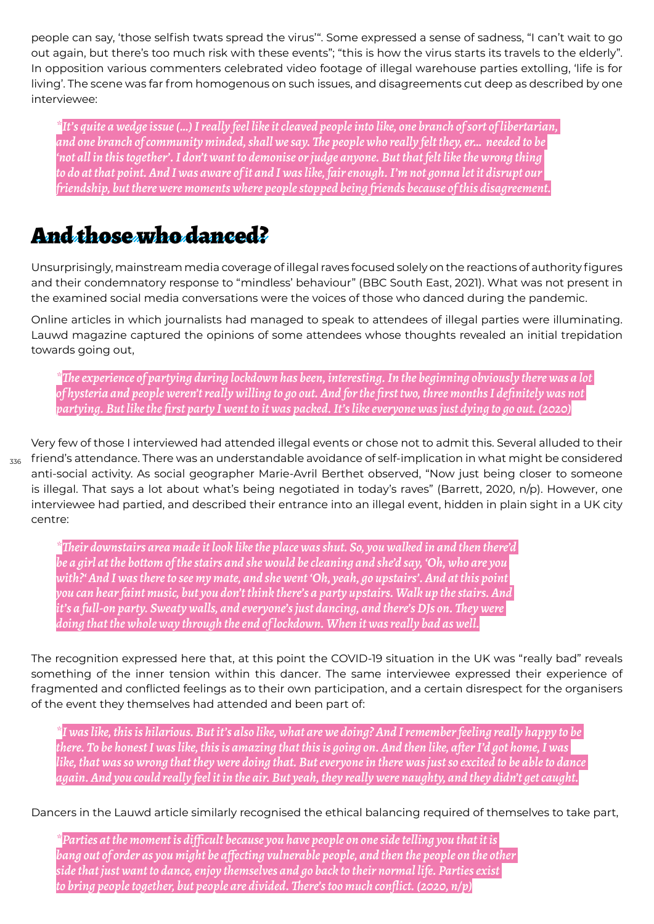people can say, 'those selfish twats spread the virus'". Some expressed a sense of sadness, "I can't wait to go out again, but there's too much risk with these events"; "this is how the virus starts its travels to the elderly". In opposition various commenters celebrated video footage of illegal warehouse parties extolling, 'life is for living'. The scene was far from homogenous on such issues, and disagreements cut deep as described by one interviewee:

*\*It's quite a wedge issue (…) I really feel like it cleaved people into like, one branch of sort of libertarian, and one branch of community minded, shall we say. The people who really felt they, er… needed to be 'not all in this together'. I don't want to demonise or judge anyone. But that felt like the wrong thing to do at that point. And I was aware of it and I was like, fair enough. I'm not gonna let it disrupt our friendship, but there were moments where people stopped being friends because of this disagreement.*

## And those who danced?

Unsurprisingly, mainstream media coverage of illegal raves focused solely on the reactions of authority figures and their condemnatory response to "mindless' behaviour" (BBC South East, 2021). What was not present in the examined social media conversations were the voices of those who danced during the pandemic.

Online articles in which journalists had managed to speak to attendees of illegal parties were illuminating. Lauwd magazine captured the opinions of some attendees whose thoughts revealed an initial trepidation towards going out,

*\*The experience of partying during lockdown has been, interesting. In the beginning obviously there was a lot of hysteria and people weren't really willing to go out. And for the first two, three months I definitely was not partying. But like the first party I went to it was packed. It's like everyone was just dying to go out. (2020)*

 $_{\rm 336}$  friend's attendance. There was an understandable avoidance of self-implication in what might be considered Very few of those I interviewed had attended illegal events or chose not to admit this. Several alluded to their anti-social activity. As social geographer Marie-Avril Berthet observed, "Now just being closer to someone is illegal. That says a lot about what's being negotiated in today's raves" (Barrett, 2020, n/p). However, one interviewee had partied, and described their entrance into an illegal event, hidden in plain sight in a UK city centre:

*\*Their downstairs area made it look like the place was shut. So, you walked in and then there'd be a girl at the bottom of the stairs and she would be cleaning and she'd say, 'Oh, who are you with?' And I was there to see my mate, and she went 'Oh, yeah, go upstairs'. And at this point you can hear faint music, but you don't think there's a party upstairs. Walk up the stairs. And it's a full-on party. Sweaty walls, and everyone's just dancing, and there's DJs on. They were doing that the whole way through the end of lockdown. When it was really bad as well.*

The recognition expressed here that, at this point the COVID-19 situation in the UK was "really bad" reveals something of the inner tension within this dancer. The same interviewee expressed their experience of fragmented and conflicted feelings as to their own participation, and a certain disrespect for the organisers of the event they themselves had attended and been part of:

*\*I was like, this is hilarious. But it's also like, what are we doing? And I remember feeling really happy to be there. To be honest I was like, this is amazing that this is going on. And then like, after I'd got home, I was like, that was so wrong that they were doing that. But everyone in there was just so excited to be able to dance again. And you could really feel it in the air. But yeah, they really were naughty, and they didn't get caught.*

Dancers in the Lauwd article similarly recognised the ethical balancing required of themselves to take part,

*\*Parties at the moment is difficult because you have people on one side telling you that it is bang out of order as you might be affecting vulnerable people, and then the people on the other side that just want to dance, enjoy themselves and go back to their normal life. Parties exist to bring people together, but people are divided. There's too much conflict. (2020, n/p)*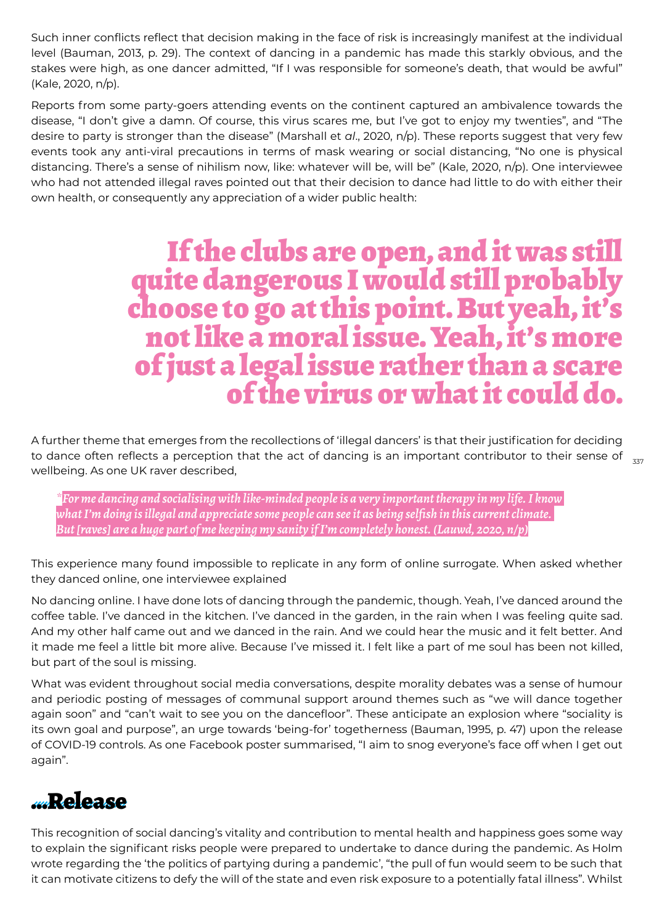Such inner conflicts reflect that decision making in the face of risk is increasingly manifest at the individual level (Bauman, 2013, p. 29). The context of dancing in a pandemic has made this starkly obvious, and the stakes were high, as one dancer admitted, "If I was responsible for someone's death, that would be awful" (Kale, 2020, n/p).

Reports from some party-goers attending events on the continent captured an ambivalence towards the disease, "I don't give a damn. Of course, this virus scares me, but I've got to enjoy my twenties", and "The desire to party is stronger than the disease" (Marshall et *al*., 2020, n/p). These reports suggest that very few events took any anti-viral precautions in terms of mask wearing or social distancing, "No one is physical distancing. There's a sense of nihilism now, like: whatever will be, will be" (Kale, 2020, n/p). One interviewee who had not attended illegal raves pointed out that their decision to dance had little to do with either their own health, or consequently any appreciation of a wider public health:

# If the clubs are open, and it was still quite dangerous I would still probably choose to go at this point. But yeah, it's not like a moral issue. Yeah, it's more of just a legal issue rather than a scare of the virus or what it could do.

to dance often reflects a perception that the act of dancing is an important contributor to their sense of  $_{\rm 337}$ A further theme that emerges from the recollections of 'illegal dancers' is that their justification for deciding wellbeing. As one UK raver described,

*\*For me dancing and socialising with like-minded people is a very important therapy in my life. I know what I'm doing is illegal and appreciate some people can see it as being selfish in this current climate. But [raves] are a huge part of me keeping my sanity if I'm completely honest. (Lauwd, 2020, n/p)*

This experience many found impossible to replicate in any form of online surrogate. When asked whether they danced online, one interviewee explained

No dancing online. I have done lots of dancing through the pandemic, though. Yeah, I've danced around the coffee table. I've danced in the kitchen. I've danced in the garden, in the rain when I was feeling quite sad. And my other half came out and we danced in the rain. And we could hear the music and it felt better. And it made me feel a little bit more alive. Because I've missed it. I felt like a part of me soul has been not killed, but part of the soul is missing.

What was evident throughout social media conversations, despite morality debates was a sense of humour and periodic posting of messages of communal support around themes such as "we will dance together again soon" and "can't wait to see you on the dancefloor". These anticipate an explosion where "sociality is its own goal and purpose", an urge towards 'being-for' togetherness (Bauman, 1995, p. 47) upon the release of COVID-19 controls. As one Facebook poster summarised, "I aim to snog everyone's face off when I get out again".

#### …Release

This recognition of social dancing's vitality and contribution to mental health and happiness goes some way to explain the significant risks people were prepared to undertake to dance during the pandemic. As Holm wrote regarding the 'the politics of partying during a pandemic', "the pull of fun would seem to be such that it can motivate citizens to defy the will of the state and even risk exposure to a potentially fatal illness". Whilst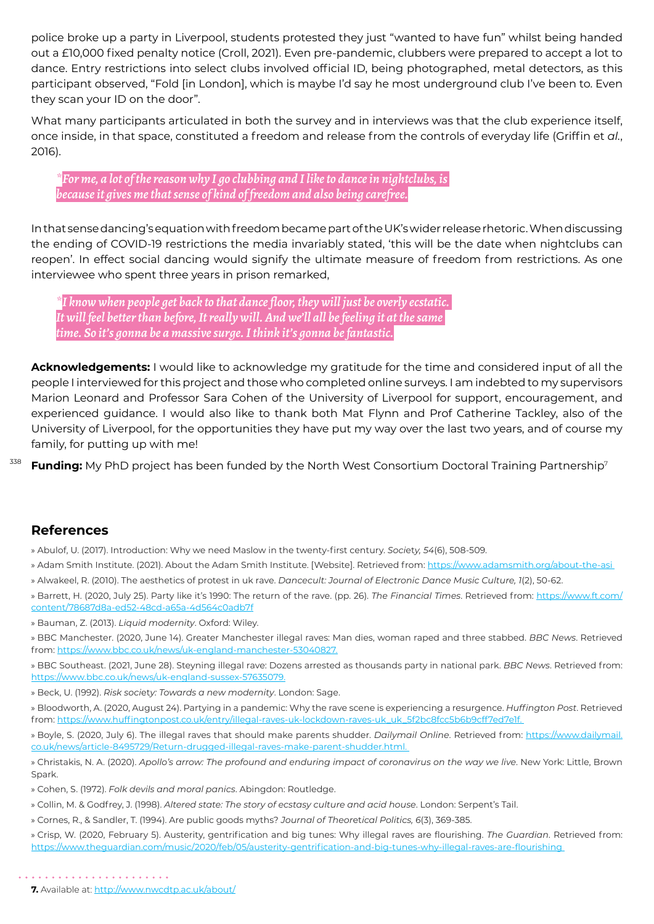police broke up a party in Liverpool, students protested they just "wanted to have fun" whilst being handed out a £10,000 fixed penalty notice (Croll, 2021). Even pre-pandemic, clubbers were prepared to accept a lot to dance. Entry restrictions into select clubs involved official ID, being photographed, metal detectors, as this participant observed, "Fold [in London], which is maybe I'd say he most underground club I've been to. Even they scan your ID on the door".

What many participants articulated in both the survey and in interviews was that the club experience itself, once inside, in that space, constituted a freedom and release from the controls of everyday life (Griffin et *al.*, 2016).

*\*For me, a lot of the reason why I go clubbing and I like to dance in nightclubs, is because it gives me that sense of kind of freedom and also being carefree.*

In that sense dancing's equation with freedom became part of the UK's wider release rhetoric. When discussing the ending of COVID-19 restrictions the media invariably stated, 'this will be the date when nightclubs can reopen'. In effect social dancing would signify the ultimate measure of freedom from restrictions. As one interviewee who spent three years in prison remarked,

*\*I know when people get back to that dance floor, they will just be overly ecstatic. It will feel better than before, It really will. And we'll all be feeling it at the same time. So it's gonna be a massive surge. I think it's gonna be fantastic.*

**Acknowledgements:** I would like to acknowledge my gratitude for the time and considered input of all the people I interviewed for this project and those who completed online surveys. I am indebted to my supervisors Marion Leonard and Professor Sara Cohen of the University of Liverpool for support, encouragement, and experienced guidance. I would also like to thank both Mat Flynn and Prof Catherine Tackley, also of the University of Liverpool, for the opportunities they have put my way over the last two years, and of course my family, for putting up with me!

338 **Funding:** My PhD project has been funded by the North West Consortium Doctoral Training Partnership<sup>7</sup>

#### **References**

» Abulof, U. (2017). Introduction: Why we need Maslow in the twenty-first century. *Soci*et*y, 54*(6), 508-509.

- » Adam Smith Institute. (2021). About the Adam Smith Institute. [Website]. Retrieved from: https://www.adamsmith.org/about-the-asi
- » Alwakeel, R. (2010). The aesthetics of protest in uk rave. *Dancecult: Journal of Electronic Dance Music Culture, 1*(2), 50-62.

» Barrett, H. (2020, July 25). Party like it's 1990: The return of the rave. (pp. 26). *The Financial Times*. Retrieved from: https://www.ft.com/ content/78687d8a-ed52-48cd-a65a-4d564c0adb7f

» Bauman, Z. (2013). *Liquid modernity*. Oxford: Wiley.

» BBC Manchester. (2020, June 14). Greater Manchester illegal raves: Man dies, woman raped and three stabbed. *BBC News*. Retrieved from: https://www.bbc.co.uk/news/uk-england-manchester-53040827.

» BBC Southeast. (2021, June 28). Steyning illegal rave: Dozens arrested as thousands party in national park. *BBC News*. Retrieved from: https://www.bbc.co.uk/news/uk-england-sussex-57635079.

» Beck, U. (1992). *Risk soci*et*y: Towards a new modernity*. London: Sage.

» Bloodworth, A. (2020, August 24). Partying in a pandemic: Why the rave scene is experiencing a resurgence. *Huffington Post*. Retrieved from: https://www.huffingtonpost.co.uk/entry/illegal-raves-uk-lockdown-raves-uk\_uk\_5f2bc8fcc5b6b9cff7ed7e1f.

» Boyle, S. (2020, July 6). The illegal raves that should make parents shudder. *Dailymail Online*. Retrieved from: https://www.dailymail. co.uk/news/article-8495729/Return-drugged-illegal-raves-make-parent-shudder.html.

» Christakis, N. A. (2020). *Apollo's arrow: The profound and enduring impact of coronavirus on the way we live*. New York: Little, Brown Spark.

» Cohen, S. (1972). *Folk devils and moral panics*. Abingdon: Routledge.

- » Collin, M. & Godfrey, J. (1998). *Altered state: The story of ecstasy culture and acid house*. London: Serpent's Tail.
- » Cornes, R., & Sandler, T. (1994). Are public goods myths? *Journal of Theor*et*ical Politics, 6*(3), 369-385.

» Crisp, W. (2020, February 5). Austerity, gentrification and big tunes: Why illegal raves are flourishing. *The Guardian*. Retrieved from: https://www.theguardian.com/music/2020/feb/05/austerity-gentrification-and-big-tunes-why-illegal-raves-are-flourishing